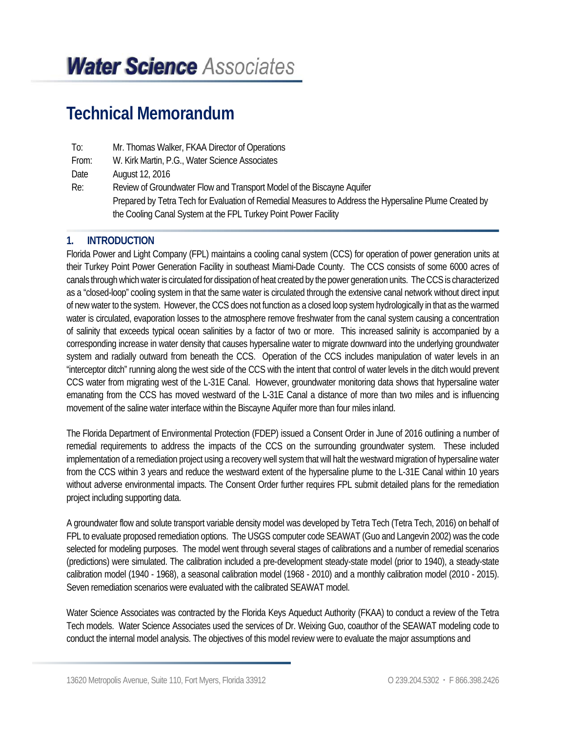# *Water Science Associates*

## **Technical Memorandum**

| To:   | Mr. Thomas Walker, FKAA Director of Operations                                                         |
|-------|--------------------------------------------------------------------------------------------------------|
| From: | W. Kirk Martin, P.G., Water Science Associates                                                         |
| Date  | August 12, 2016                                                                                        |
| Re:   | Review of Groundwater Flow and Transport Model of the Biscayne Aquifer                                 |
|       | Prepared by Tetra Tech for Evaluation of Remedial Measures to Address the Hypersaline Plume Created by |
|       | the Cooling Canal System at the FPL Turkey Point Power Facility                                        |

## **1. INTRODUCTION**

Florida Power and Light Company (FPL) maintains a cooling canal system (CCS) for operation of power generation units at their Turkey Point Power Generation Facility in southeast Miami-Dade County. The CCS consists of some 6000 acres of canals through which water is circulated for dissipation of heat created by the power generation units. The CCS is characterized as a "closed-loop" cooling system in that the same water is circulated through the extensive canal network without direct input of new water to the system. However, the CCS does not function as a closed loop system hydrologically in that as the warmed water is circulated, evaporation losses to the atmosphere remove freshwater from the canal system causing a concentration of salinity that exceeds typical ocean salinities by a factor of two or more. This increased salinity is accompanied by a corresponding increase in water density that causes hypersaline water to migrate downward into the underlying groundwater system and radially outward from beneath the CCS. Operation of the CCS includes manipulation of water levels in an "interceptor ditch" running along the west side of the CCS with the intent that control of water levels in the ditch would prevent CCS water from migrating west of the L-31E Canal. However, groundwater monitoring data shows that hypersaline water emanating from the CCS has moved westward of the L-31E Canal a distance of more than two miles and is influencing movement of the saline water interface within the Biscayne Aquifer more than four miles inland.

The Florida Department of Environmental Protection (FDEP) issued a Consent Order in June of 2016 outlining a number of remedial requirements to address the impacts of the CCS on the surrounding groundwater system. These included implementation of a remediation project using a recovery well system that will halt the westward migration of hypersaline water from the CCS within 3 years and reduce the westward extent of the hypersaline plume to the L-31E Canal within 10 years without adverse environmental impacts. The Consent Order further requires FPL submit detailed plans for the remediation project including supporting data.

A groundwater flow and solute transport variable density model was developed by Tetra Tech (Tetra Tech, 2016) on behalf of FPL to evaluate proposed remediation options. The USGS computer code SEAWAT (Guo and Langevin 2002) was the code selected for modeling purposes. The model went through several stages of calibrations and a number of remedial scenarios (predictions) were simulated. The calibration included a pre-development steady-state model (prior to 1940), a steady-state calibration model (1940 - 1968), a seasonal calibration model (1968 - 2010) and a monthly calibration model (2010 - 2015). Seven remediation scenarios were evaluated with the calibrated SEAWAT model.

Water Science Associates was contracted by the Florida Keys Aqueduct Authority (FKAA) to conduct a review of the Tetra Tech models. Water Science Associates used the services of Dr. Weixing Guo, coauthor of the SEAWAT modeling code to conduct the internal model analysis. The objectives of this model review were to evaluate the major assumptions and

13620 Metropolis Avenue, Suite 110, Fort Myers, Florida 33912 **C 239.204.5302 · F 866.398.2426**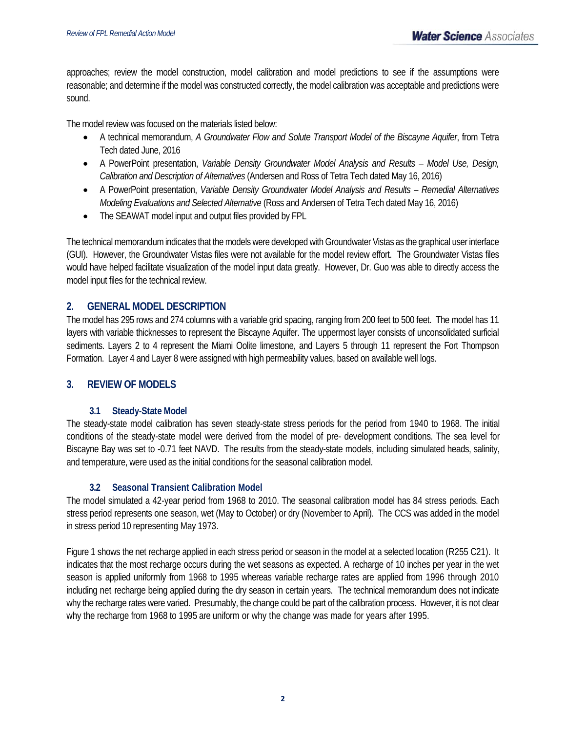approaches; review the model construction, model calibration and model predictions to see if the assumptions were reasonable; and determine if the model was constructed correctly, the model calibration was acceptable and predictions were sound.

The model review was focused on the materials listed below:

- A technical memorandum, *A Groundwater Flow and Solute Transport Model of the Biscayne Aquifer*, from Tetra Tech dated June, 2016
- A PowerPoint presentation, *Variable Density Groundwater Model Analysis and Results Model Use, Design, Calibration and Description of Alternatives* (Andersen and Ross of Tetra Tech dated May 16, 2016)
- A PowerPoint presentation, *Variable Density Groundwater Model Analysis and Results Remedial Alternatives Modeling Evaluations and Selected Alternative* (Ross and Andersen of Tetra Tech dated May 16, 2016)
- The SEAWAT model input and output files provided by FPL

The technical memorandum indicates that the models were developed with Groundwater Vistas as the graphical user interface (GUI). However, the Groundwater Vistas files were not available for the model review effort. The Groundwater Vistas files would have helped facilitate visualization of the model input data greatly. However, Dr. Guo was able to directly access the model input files for the technical review.

## **2. GENERAL MODEL DESCRIPTION**

The model has 295 rows and 274 columns with a variable grid spacing, ranging from 200 feet to 500 feet. The model has 11 layers with variable thicknesses to represent the Biscayne Aquifer. The uppermost layer consists of unconsolidated surficial sediments. Layers 2 to 4 represent the Miami Oolite limestone, and Layers 5 through 11 represent the Fort Thompson Formation. Layer 4 and Layer 8 were assigned with high permeability values, based on available well logs.

## **3. REVIEW OF MODELS**

## **3.1 Steady-State Model**

The steady-state model calibration has seven steady-state stress periods for the period from 1940 to 1968. The initial conditions of the steady-state model were derived from the model of pre- development conditions. The sea level for Biscayne Bay was set to -0.71 feet NAVD. The results from the steady-state models, including simulated heads, salinity, and temperature, were used as the initial conditions for the seasonal calibration model.

## **3.2 Seasonal Transient Calibration Model**

The model simulated a 42-year period from 1968 to 2010. The seasonal calibration model has 84 stress periods. Each stress period represents one season, wet (May to October) or dry (November to April). The CCS was added in the model in stress period 10 representing May 1973.

Figure 1 shows the net recharge applied in each stress period or season in the model at a selected location (R255 C21). It indicates that the most recharge occurs during the wet seasons as expected. A recharge of 10 inches per year in the wet season is applied uniformly from 1968 to 1995 whereas variable recharge rates are applied from 1996 through 2010 including net recharge being applied during the dry season in certain years. The technical memorandum does not indicate why the recharge rates were varied. Presumably, the change could be part of the calibration process. However, it is not clear why the recharge from 1968 to 1995 are uniform or why the change was made for years after 1995.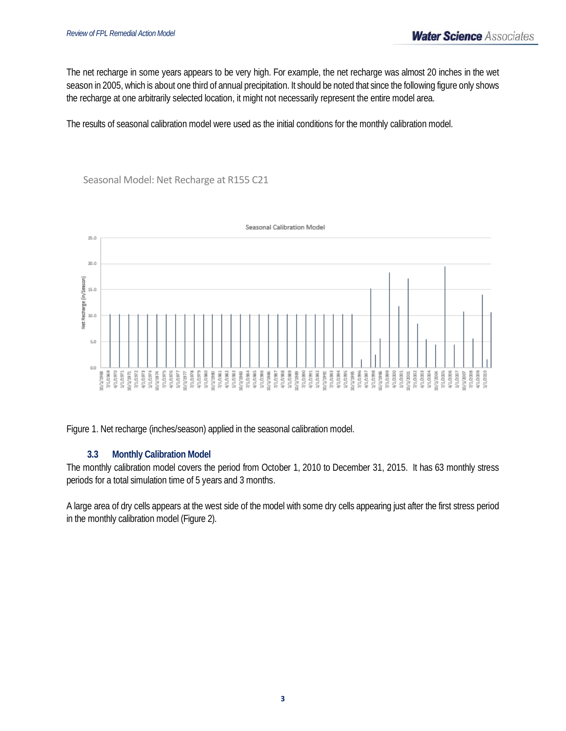The net recharge in some years appears to be very high. For example, the net recharge was almost 20 inches in the wet season in 2005, which is about one third of annual precipitation. It should be noted that since the following figure only shows the recharge at one arbitrarily selected location, it might not necessarily represent the entire model area.

The results of seasonal calibration model were used as the initial conditions for the monthly calibration model.

Seasonal Model: Net Recharge at R155 C21



Figure 1. Net recharge (inches/season) applied in the seasonal calibration model.

## **3.3 Monthly Calibration Model**

The monthly calibration model covers the period from October 1, 2010 to December 31, 2015. It has 63 monthly stress periods for a total simulation time of 5 years and 3 months.

A large area of dry cells appears at the west side of the model with some dry cells appearing just after the first stress period in the monthly calibration model (Figure 2).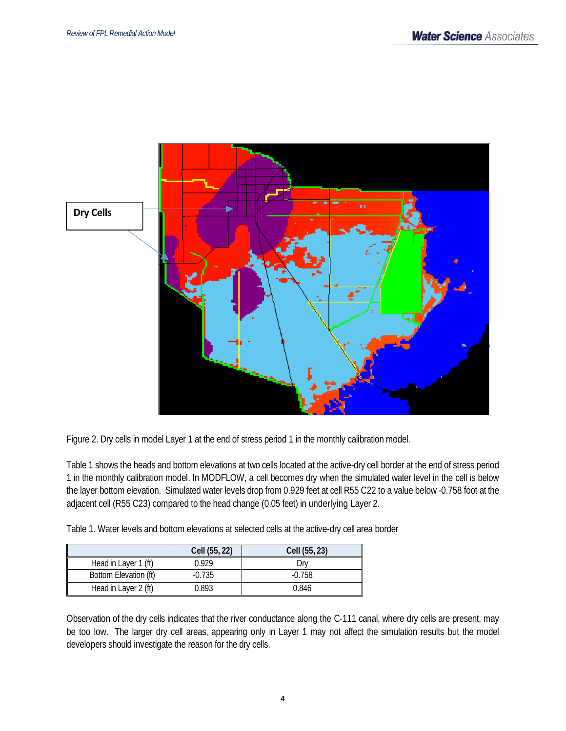

Figure 2. Dry cells in model Layer 1 at the end of stress period 1 in the monthly calibration model.

Table 1 shows the heads and bottom elevations at two cells located at the active-dry cell border at the end of stress period 1 in the monthly calibration model. In MODFLOW, a cell becomes dry when the simulated water level in the cell is below the layer bottom elevation. Simulated water levels drop from 0.929 feet at cell R55 C22 to a value below -0.758 foot at the adjacent cell (R55 C23) compared to the head change (0.05 feet) in underlying Layer 2.

Table 1. Water levels and bottom elevations at selected cells at the active-dry cell area border

|                       | Cell (55, 22) | Cell (55, 23) |
|-----------------------|---------------|---------------|
| Head in Layer 1 (ft)  | በ 929         | )rv           |
| Bottom Elevation (ft) | -0.735        | $-0.758$      |
| Head in Layer 2 (ft)  | 0.893         | 0.846         |

Observation of the dry cells indicates that the river conductance along the C-111 canal, where dry cells are present, may be too low. The larger dry cell areas, appearing only in Layer 1 may not affect the simulation results but the model developers should investigate the reason for the dry cells.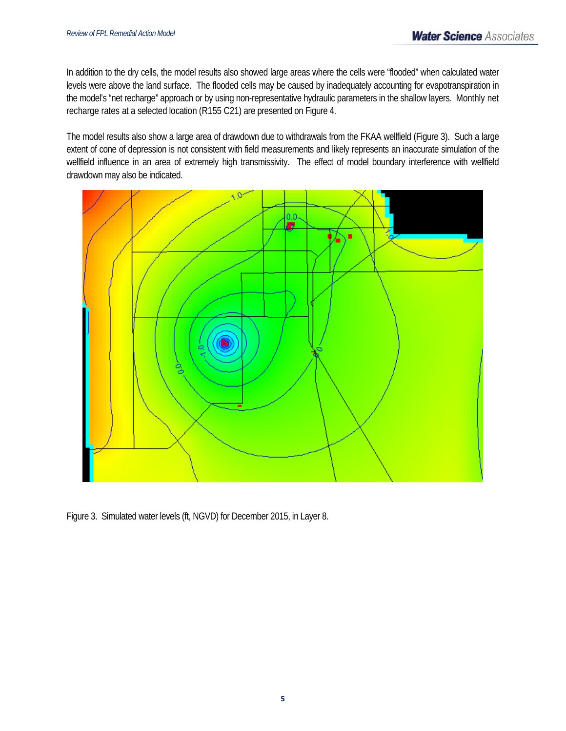In addition to the dry cells, the model results also showed large areas where the cells were "flooded" when calculated water levels were above the land surface. The flooded cells may be caused by inadequately accounting for evapotranspiration in the model's "net recharge" approach or by using non-representative hydraulic parameters in the shallow layers. Monthly net recharge rates at a selected location (R155 C21) are presented on Figure 4.

The model results also show a large area of drawdown due to withdrawals from the FKAA wellfield (Figure 3). Such a large extent of cone of depression is not consistent with field measurements and likely represents an inaccurate simulation of the wellfield influence in an area of extremely high transmissivity. The effect of model boundary interference with wellfield drawdown may also be indicated.



Figure 3. Simulated water levels (ft, NGVD) for December 2015, in Layer 8.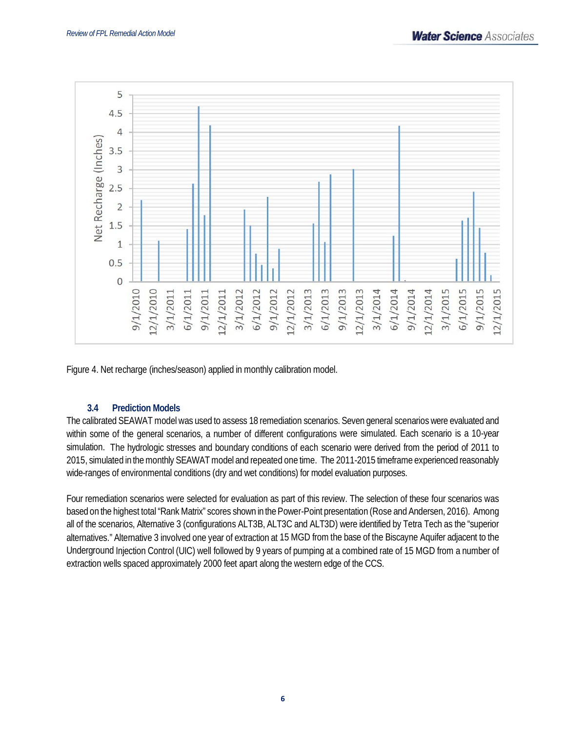

Figure 4. Net recharge (inches/season) applied in monthly calibration model.

## **3.4 Prediction Models**

The calibrated SEAWAT model was used to assess 18 remediation scenarios. Seven general scenarios were evaluated and within some of the general scenarios, a number of different configurations were simulated. Each scenario is a 10-year simulation. The hydrologic stresses and boundary conditions of each scenario were derived from the period of 2011 to 2015, simulated in the monthly SEAWAT model and repeated one time. The 2011-2015 timeframe experienced reasonably wide-ranges of environmental conditions (dry and wet conditions) for model evaluation purposes.

Four remediation scenarios were selected for evaluation as part of this review. The selection of these four scenarios was based on the highest total "Rank Matrix" scores shown in the Power-Point presentation (Rose and Andersen, 2016). Among all of the scenarios, Alternative 3 (configurations ALT3B, ALT3C and ALT3D) were identified by Tetra Tech as the "superior alternatives." Alternative 3 involved one year of extraction at 15 MGD from the base of the Biscayne Aquifer adjacent to the Underground Injection Control (UIC) well followed by 9 years of pumping at a combined rate of 15 MGD from a number of extraction wells spaced approximately 2000 feet apart along the western edge of the CCS.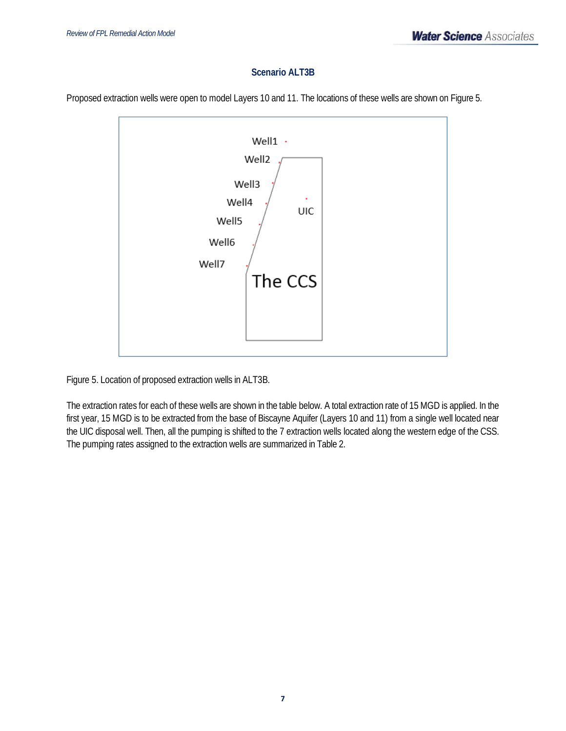## **Scenario ALT3B**

Proposed extraction wells were open to model Layers 10 and 11. The locations of these wells are shown on Figure 5.



Figure 5. Location of proposed extraction wells in ALT3B.

The extraction rates for each of these wells are shown in the table below. A total extraction rate of 15 MGD is applied. In the first year, 15 MGD is to be extracted from the base of Biscayne Aquifer (Layers 10 and 11) from a single well located near the UIC disposal well. Then, all the pumping is shifted to the 7 extraction wells located along the western edge of the CSS. The pumping rates assigned to the extraction wells are summarized in Table 2.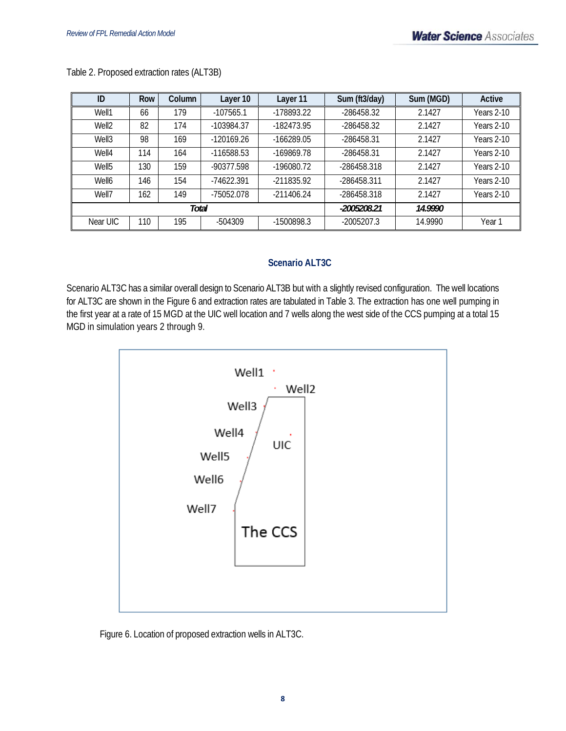| ID                | Row | Column | Layer 10     | Layer 11     | Sum (ft3/day) | Sum (MGD) | Active            |
|-------------------|-----|--------|--------------|--------------|---------------|-----------|-------------------|
| Well1             | 66  | 179    | $-107565.1$  | -178893.22   | -286458.32    | 2.1427    | Years 2-10        |
| Well <sub>2</sub> | 82  | 174    | -103984.37   | -182473.95   | -286458.32    | 2.1427    | Years 2-10        |
| Well <sub>3</sub> | 98  | 169    | $-120169.26$ | $-166289.05$ | -286458.31    | 2.1427    | <b>Years 2-10</b> |
| Well4             | 114 | 164    | -116588.53   | -169869.78   | -286458.31    | 2.1427    | Years 2-10        |
| Well <sub>5</sub> | 130 | 159    | -90377.598   | -196080.72   | -286458.318   | 2.1427    | Years 2-10        |
| Well6             | 146 | 154    | -74622.391   | $-211835.92$ | -286458.311   | 2.1427    | Years 2-10        |
| Well7             | 162 | 149    | -75052.078   | $-211406.24$ | -286458.318   | 2.1427    | Years 2-10        |
|                   |     | Total  |              | -2005208.21  | 14.9990       |           |                   |
| Near UIC          | 110 | 195    | -504309      | -1500898.3   | $-2005207.3$  | 14.9990   | Year 1            |

Table 2. Proposed extraction rates (ALT3B)

## **Scenario ALT3C**

Scenario ALT3C has a similar overall design to Scenario ALT3B but with a slightly revised configuration. The well locations for ALT3C are shown in the Figure 6 and extraction rates are tabulated in Table 3. The extraction has one well pumping in the first year at a rate of 15 MGD at the UIC well location and 7 wells along the west side of the CCS pumping at a total 15 MGD in simulation years 2 through 9.



Figure 6. Location of proposed extraction wells in ALT3C.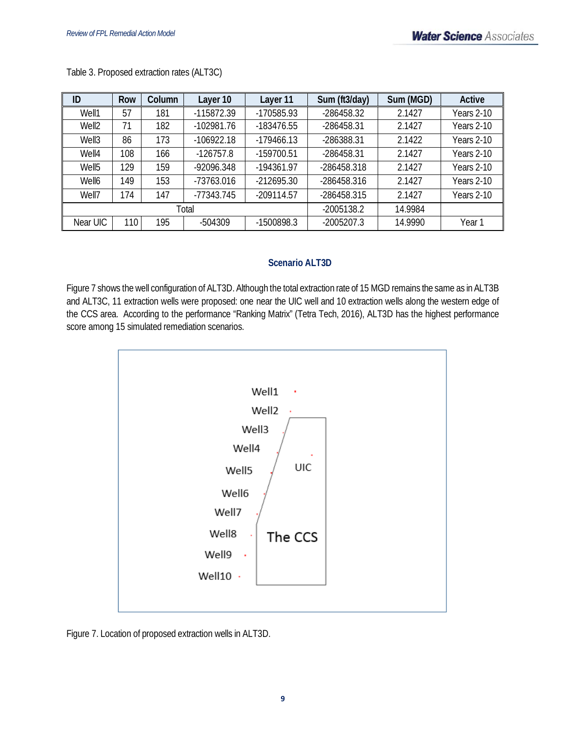| ID                | <b>Row</b> | Column | Layer 10     | Layer 11     | Sum (ft3/day) | Sum (MGD) | Active     |
|-------------------|------------|--------|--------------|--------------|---------------|-----------|------------|
| Well1             | 57         | 181    | -115872.39   | -170585.93   | -286458.32    | 2.1427    | Years 2-10 |
| Well <sub>2</sub> | 71         | 182    | $-102981.76$ | -183476.55   | -286458.31    | 2.1427    | Years 2-10 |
| Well3             | 86         | 173    | $-106922.18$ | $-179466.13$ | -286388.31    | 2.1422    | Years 2-10 |
| Well4             | 108        | 166    | $-126757.8$  | -159700.51   | -286458.31    | 2.1427    | Years 2-10 |
| Well <sub>5</sub> | 129        | 159    | -92096.348   | $-194361.97$ | -286458.318   | 2.1427    | Years 2-10 |
| Well6             | 149        | 153    | -73763.016   | $-212695.30$ | -286458.316   | 2.1427    | Years 2-10 |
| Well7             | 174        | 147    | -77343.745   | $-209114.57$ | -286458.315   | 2.1427    | Years 2-10 |
| Total             |            |        |              |              | $-2005138.2$  | 14.9984   |            |
| Near UIC          | 110        | 195    | -504309      | -1500898.3   | $-2005207.3$  | 14.9990   | Year 1     |

Table 3. Proposed extraction rates (ALT3C)

## **Scenario ALT3D**

Figure 7 shows the well configuration of ALT3D. Although the total extraction rate of 15 MGD remains the same as in ALT3B and ALT3C, 11 extraction wells were proposed: one near the UIC well and 10 extraction wells along the western edge of the CCS area. According to the performance "Ranking Matrix" (Tetra Tech, 2016), ALT3D has the highest performance score among 15 simulated remediation scenarios.



Figure 7. Location of proposed extraction wells in ALT3D.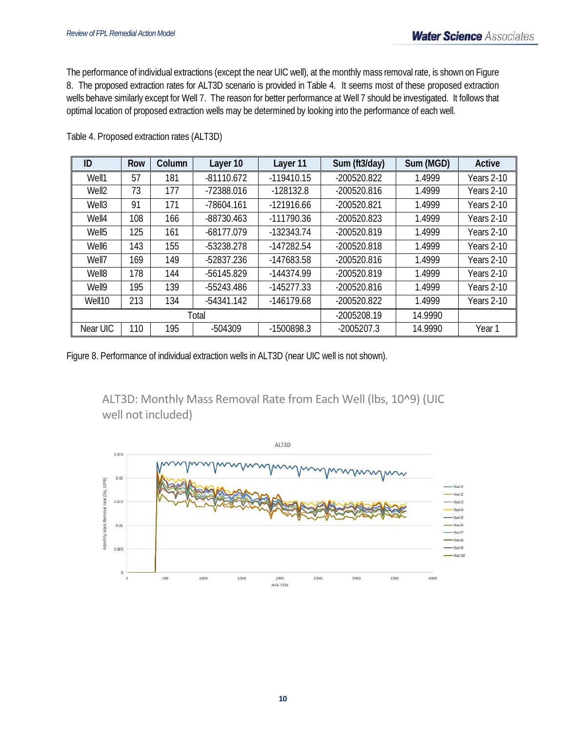The performance of individual extractions (except the near UIC well), at the monthly mass removal rate, is shown on Figure 8. The proposed extraction rates for ALT3D scenario is provided in Table 4. It seems most of these proposed extraction wells behave similarly except for Well 7. The reason for better performance at Well 7 should be investigated. It follows that optimal location of proposed extraction wells may be determined by looking into the performance of each well.

| ID                | <b>Row</b> | Column | Layer 10     | Layer 11     | Sum (ft3/day) | Sum (MGD) | Active     |
|-------------------|------------|--------|--------------|--------------|---------------|-----------|------------|
| Well1             | 57         | 181    | $-81110.672$ | $-119410.15$ | $-200520.822$ | 1.4999    | Years 2-10 |
| Well <sub>2</sub> | 73         | 177    | -72388.016   | $-128132.8$  | $-200520.816$ | 1.4999    | Years 2-10 |
| Well3             | 91         | 171    | -78604.161   | $-121916.66$ | -200520.821   | 1.4999    | Years 2-10 |
| Well4             | 108        | 166    | $-88730.463$ | $-111790.36$ | $-200520.823$ | 1.4999    | Years 2-10 |
| Well <sub>5</sub> | 125        | 161    | $-68177.079$ | $-132343.74$ | -200520.819   | 1.4999    | Years 2-10 |
| Well6             | 143        | 155    | -53238.278   | $-147282.54$ | -200520.818   | 1.4999    | Years 2-10 |
| Well7             | 169        | 149    | -52837.236   | -147683.58   | -200520.816   | 1.4999    | Years 2-10 |
| Well8             | 178        | 144    | -56145.829   | $-144374.99$ | -200520.819   | 1.4999    | Years 2-10 |
| Well9             | 195        | 139    | -55243.486   | $-145277.33$ | -200520.816   | 1.4999    | Years 2-10 |
| Well10            | 213        | 134    | $-54341.142$ | $-146179.68$ | -200520.822   | 1.4999    | Years 2-10 |
|                   | Total      |        |              |              | -2005208.19   | 14.9990   |            |
| Near UIC          | 110        | 195    | -504309      | -1500898.3   | $-2005207.3$  | 14.9990   | Year 1     |

Table 4. Proposed extraction rates (ALT3D)

Figure 8. Performance of individual extraction wells in ALT3D (near UIC well is not shown).

ALT3D: Monthly Mass Removal Rate from Each Well (lbs, 10^9) (UIC well not included)

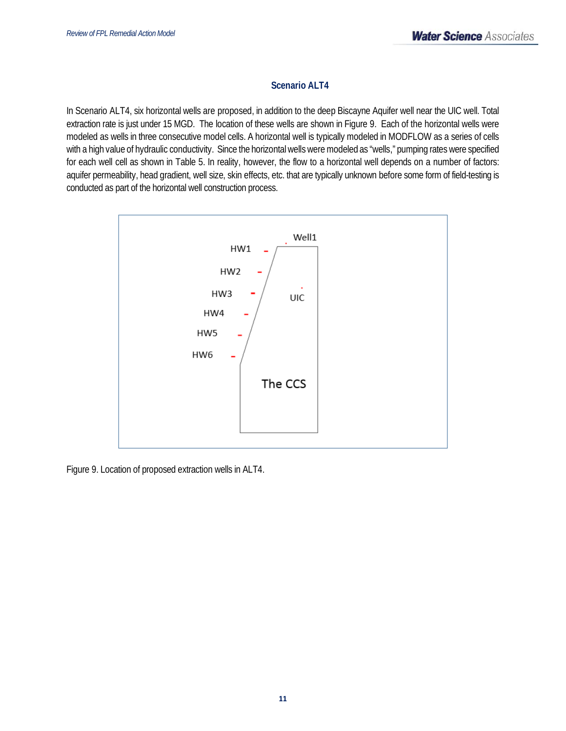## **Scenario ALT4**

In Scenario ALT4, six horizontal wells are proposed, in addition to the deep Biscayne Aquifer well near the UIC well. Total extraction rate is just under 15 MGD. The location of these wells are shown in Figure 9. Each of the horizontal wells were modeled as wells in three consecutive model cells. A horizontal well is typically modeled in MODFLOW as a series of cells with a high value of hydraulic conductivity. Since the horizontal wells were modeled as "wells," pumping rates were specified for each well cell as shown in Table 5. In reality, however, the flow to a horizontal well depends on a number of factors: aquifer permeability, head gradient, well size, skin effects, etc. that are typically unknown before some form of field-testing is conducted as part of the horizontal well construction process.



Figure 9. Location of proposed extraction wells in ALT4.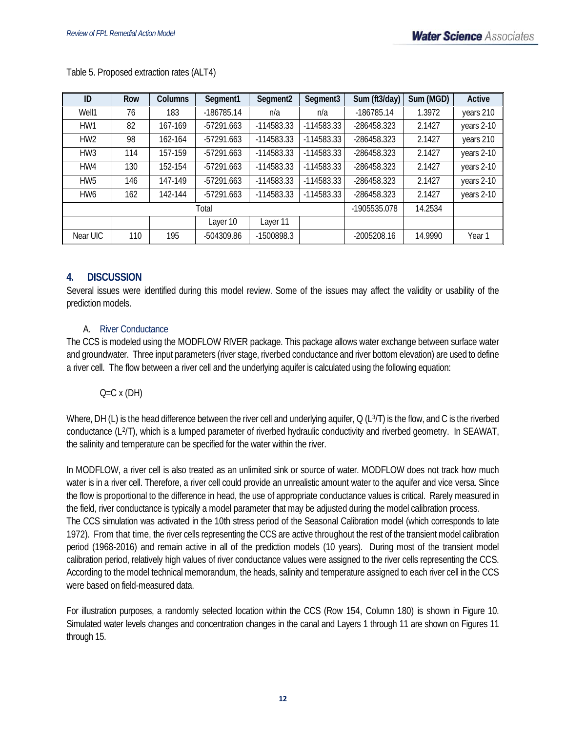| ID              | Row | <b>Columns</b> | Segment1     | Segment <sub>2</sub> | Segment <sub>3</sub> | Sum (ft3/day) | Sum (MGD) | Active            |
|-----------------|-----|----------------|--------------|----------------------|----------------------|---------------|-----------|-------------------|
| Well1           | 76  | 183            | $-186785.14$ | n/a                  | n/a                  | $-186785.14$  | 1.3972    | years 210         |
| HW1             | 82  | 167-169        | $-57291.663$ | $-114583.33$         | $-114583.33$         | -286458.323   | 2.1427    | years 2-10        |
| HW <sub>2</sub> | 98  | 162-164        | $-57291.663$ | -114583.33           | $-114583.33$         | -286458.323   | 2.1427    | years 210         |
| HW <sub>3</sub> | 114 | 157-159        | $-57291.663$ | -114583.33           | $-114583.33$         | -286458.323   | 2.1427    | years 2-10        |
| HW4             | 130 | 152-154        | $-57291.663$ | $-114583.33$         | $-114583.33$         | -286458.323   | 2.1427    | years 2-10        |
| HW <sub>5</sub> | 146 | 147-149        | $-57291.663$ | $-114583.33$         | $-114583.33$         | -286458.323   | 2.1427    | years 2-10        |
| HW <sub>6</sub> | 162 | 142-144        | $-57291.663$ | -114583.33           | $-114583.33$         | -286458.323   | 2.1427    | years 2-10        |
| Total           |     |                |              |                      | -1905535.078         | 14.2534       |           |                   |
|                 |     |                | Layer 10     | Layer 11             |                      |               |           |                   |
| Near UIC        | 110 | 195            | -504309.86   | -1500898.3           |                      | $-2005208.16$ | 14.9990   | Year <sub>1</sub> |

Table 5. Proposed extraction rates (ALT4)

## **4. DISCUSSION**

Several issues were identified during this model review. Some of the issues may affect the validity or usability of the prediction models.

## A. River Conductance

The CCS is modeled using the MODFLOW RIVER package. This package allows water exchange between surface water and groundwater. Three input parameters (river stage, riverbed conductance and river bottom elevation) are used to define a river cell. The flow between a river cell and the underlying aquifer is calculated using the following equation:

## $Q=C \times (DH)$

Where, DH (L) is the head difference between the river cell and underlying aquifer, Q (L3/T) is the flow, and C is the riverbed conductance (L2/T), which is a lumped parameter of riverbed hydraulic conductivity and riverbed geometry. In SEAWAT, the salinity and temperature can be specified for the water within the river.

In MODFLOW, a river cell is also treated as an unlimited sink or source of water. MODFLOW does not track how much water is in a river cell. Therefore, a river cell could provide an unrealistic amount water to the aquifer and vice versa. Since the flow is proportional to the difference in head, the use of appropriate conductance values is critical. Rarely measured in the field, river conductance is typically a model parameter that may be adjusted during the model calibration process. The CCS simulation was activated in the 10th stress period of the Seasonal Calibration model (which corresponds to late 1972). From that time, the river cells representing the CCS are active throughout the rest of the transient model calibration period (1968-2016) and remain active in all of the prediction models (10 years). During most of the transient model calibration period, relatively high values of river conductance values were assigned to the river cells representing the CCS. According to the model technical memorandum, the heads, salinity and temperature assigned to each river cell in the CCS were based on field-measured data.

For illustration purposes, a randomly selected location within the CCS (Row 154, Column 180) is shown in Figure 10. Simulated water levels changes and concentration changes in the canal and Layers 1 through 11 are shown on Figures 11 through 15.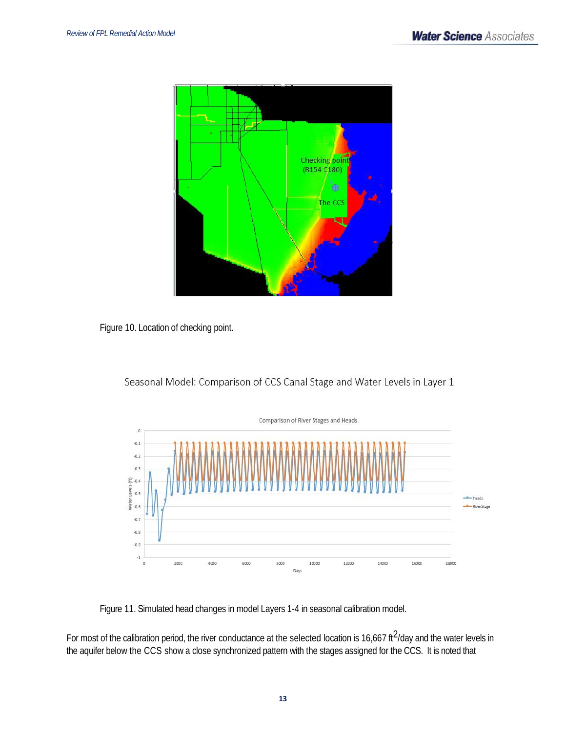







Figure 11. Simulated head changes in model Layers 1-4 in seasonal calibration model.

For most of the calibration period, the river conductance at the selected location is 16,667 ft $^2$ /day and the water levels in the aquifer below the CCS show a close synchronized pattern with the stages assigned for the CCS. It is noted that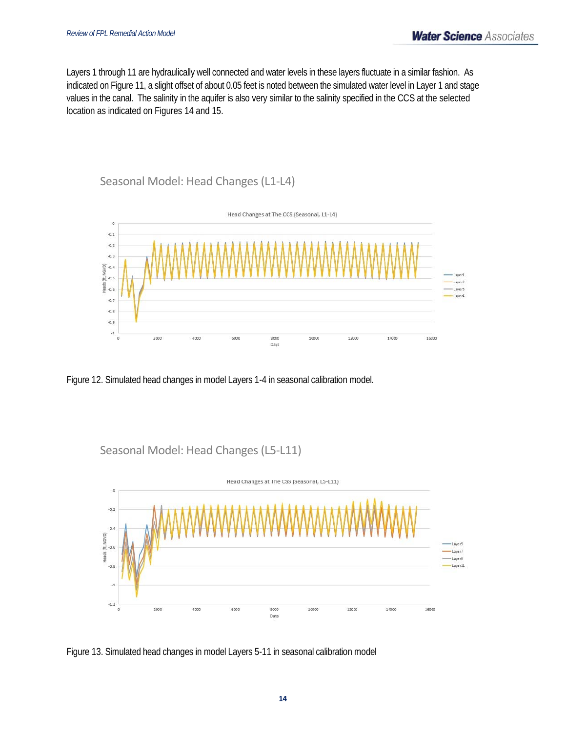Layers 1 through 11 are hydraulically well connected and water levels in these layers fluctuate in a similar fashion. As indicated on Figure 11, a slight offset of about 0.05 feet is noted between the simulated water level in Layer 1 and stage values in the canal. The salinity in the aquifer is also very similar to the salinity specified in the CCS at the selected location as indicated on Figures 14 and 15.

## Seasonal Model: Head Changes (L1‐L4)



Figure 12. Simulated head changes in model Layers 1-4 in seasonal calibration model.

Seasonal Model: Head Changes (L5‐L11)



Figure 13. Simulated head changes in model Layers 5-11 in seasonal calibration model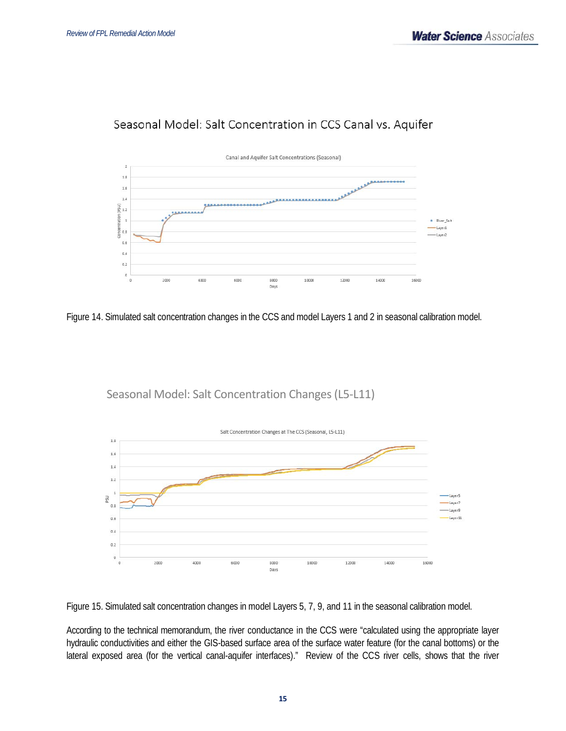## Seasonal Model: Salt Concentration in CCS Canal vs. Aquifer



Figure 14. Simulated salt concentration changes in the CCS and model Layers 1 and 2 in seasonal calibration model.

Seasonal Model: Salt Concentration Changes (L5‐L11)



Figure 15. Simulated salt concentration changes in model Layers 5, 7, 9, and 11 in the seasonal calibration model.

According to the technical memorandum, the river conductance in the CCS were "calculated using the appropriate layer hydraulic conductivities and either the GIS-based surface area of the surface water feature (for the canal bottoms) or the lateral exposed area (for the vertical canal-aquifer interfaces)." Review of the CCS river cells, shows that the river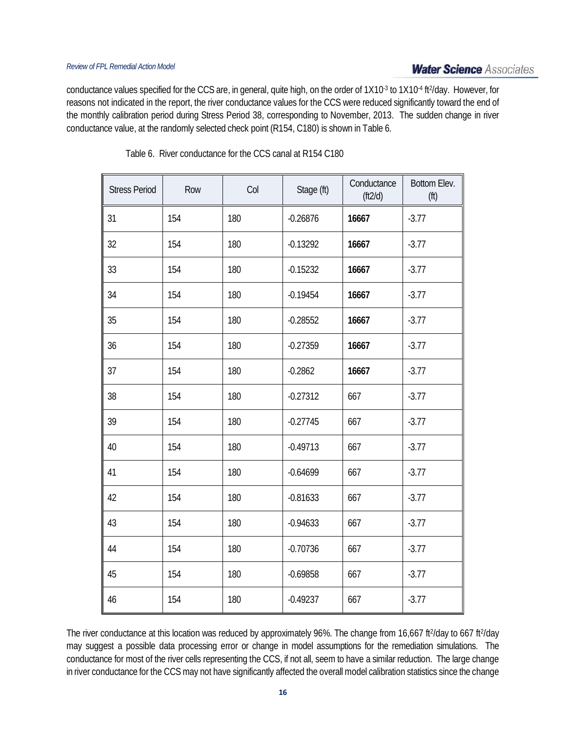conductance values specified for the CCS are, in general, quite high, on the order of 1X10-3 to 1X10-4 ft<sup>2</sup>/day. However, for reasons not indicated in the report, the river conductance values for the CCS were reduced significantly toward the end of the monthly calibration period during Stress Period 38, corresponding to November, 2013. The sudden change in river conductance value, at the randomly selected check point (R154, C180) is shown in Table 6.

| <b>Stress Period</b> | Row | Col | Stage (ft) | Conductance<br>(f12/d) | Bottom Elev.<br>(f) |
|----------------------|-----|-----|------------|------------------------|---------------------|
| 31                   | 154 | 180 | $-0.26876$ | 16667                  | $-3.77$             |
| 32                   | 154 | 180 | $-0.13292$ | 16667                  | $-3.77$             |
| 33                   | 154 | 180 | $-0.15232$ | 16667                  | $-3.77$             |
| 34                   | 154 | 180 | $-0.19454$ | 16667                  | $-3.77$             |
| 35                   | 154 | 180 | $-0.28552$ | 16667                  | $-3.77$             |
| 36                   | 154 | 180 | $-0.27359$ | 16667                  | $-3.77$             |
| 37                   | 154 | 180 | $-0.2862$  | 16667                  | $-3.77$             |
| 38                   | 154 | 180 | $-0.27312$ | 667                    | $-3.77$             |
| 39                   | 154 | 180 | $-0.27745$ | 667                    | $-3.77$             |
| 40                   | 154 | 180 | $-0.49713$ | 667                    | $-3.77$             |
| 41                   | 154 | 180 | $-0.64699$ | 667                    | $-3.77$             |
| 42                   | 154 | 180 | $-0.81633$ | 667                    | $-3.77$             |
| 43                   | 154 | 180 | $-0.94633$ | 667                    | $-3.77$             |
| 44                   | 154 | 180 | $-0.70736$ | 667                    | $-3.77$             |
| 45                   | 154 | 180 | $-0.69858$ | 667                    | $-3.77$             |
| 46                   | 154 | 180 | $-0.49237$ | 667                    | $-3.77$             |

Table 6. River conductance for the CCS canal at R154 C180

The river conductance at this location was reduced by approximately 96%. The change from 16,667 ft<sup>2</sup>/day to 667 ft<sup>2</sup>/day may suggest a possible data processing error or change in model assumptions for the remediation simulations. The conductance for most of the river cells representing the CCS, if not all, seem to have a similar reduction. The large change in river conductance for the CCS may not have significantly affected the overall model calibration statistics since the change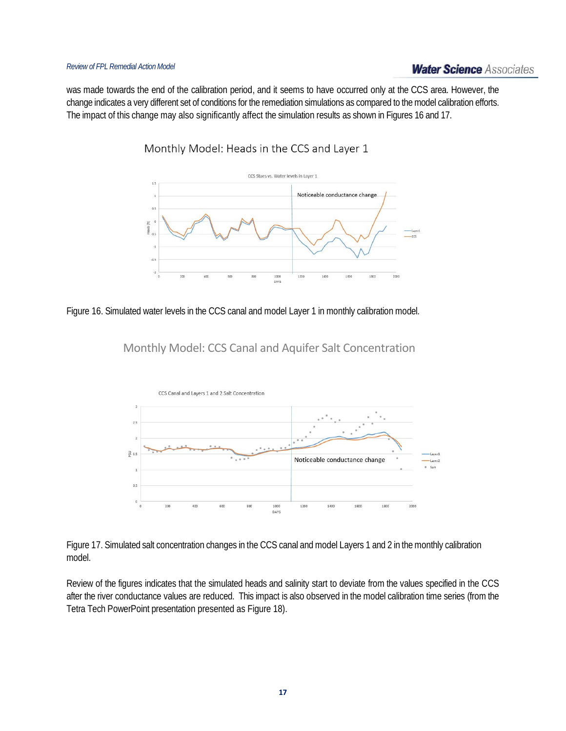## **Water Science Associates**

was made towards the end of the calibration period, and it seems to have occurred only at the CCS area. However, the change indicates a very different set of conditions for the remediation simulations as compared to the model calibration efforts. The impact of this change may also significantly affect the simulation results as shown in Figures 16 and 17.

Monthly Model: Heads in the CCS and Layer 1



Figure 16. Simulated water levels in the CCS canal and model Layer 1 in monthly calibration model.





Figure 17. Simulated salt concentration changes in the CCS canal and model Layers 1 and 2 in the monthly calibration model.

Review of the figures indicates that the simulated heads and salinity start to deviate from the values specified in the CCS after the river conductance values are reduced. This impact is also observed in the model calibration time series (from the Tetra Tech PowerPoint presentation presented as Figure 18).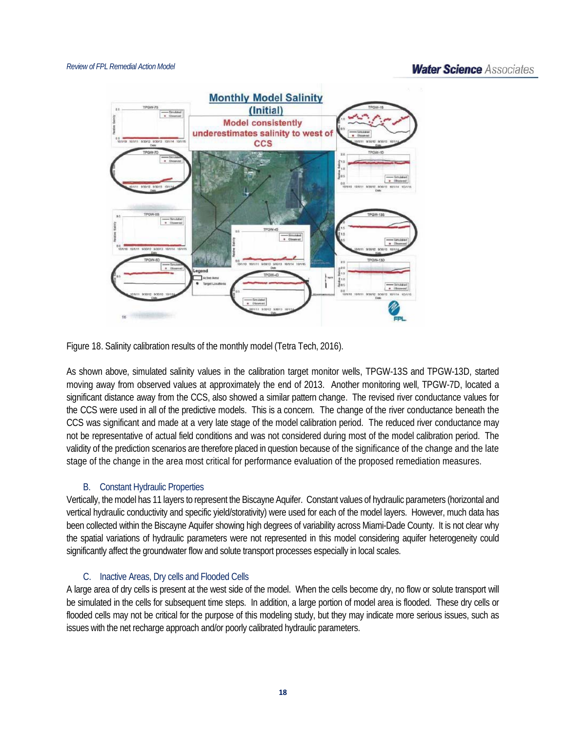## **Water Science Associates**



Figure 18. Salinity calibration results of the monthly model (Tetra Tech, 2016).

As shown above, simulated salinity values in the calibration target monitor wells, TPGW-13S and TPGW-13D, started moving away from observed values at approximately the end of 2013. Another monitoring well, TPGW-7D, located a significant distance away from the CCS, also showed a similar pattern change. The revised river conductance values for the CCS were used in all of the predictive models. This is a concern. The change of the river conductance beneath the CCS was significant and made at a very late stage of the model calibration period. The reduced river conductance may not be representative of actual field conditions and was not considered during most of the model calibration period. The validity of the prediction scenarios are therefore placed in question because of the significance of the change and the late stage of the change in the area most critical for performance evaluation of the proposed remediation measures.

## B. Constant Hydraulic Properties

Vertically, the model has 11 layers to represent the Biscayne Aquifer. Constant values of hydraulic parameters (horizontal and vertical hydraulic conductivity and specific yield/storativity) were used for each of the model layers. However, much data has been collected within the Biscayne Aquifer showing high degrees of variability across Miami-Dade County. It is not clear why the spatial variations of hydraulic parameters were not represented in this model considering aquifer heterogeneity could significantly affect the groundwater flow and solute transport processes especially in local scales.

#### C. Inactive Areas, Dry cells and Flooded Cells

A large area of dry cells is present at the west side of the model. When the cells become dry, no flow or solute transport will be simulated in the cells for subsequent time steps. In addition, a large portion of model area is flooded. These dry cells or flooded cells may not be critical for the purpose of this modeling study, but they may indicate more serious issues, such as issues with the net recharge approach and/or poorly calibrated hydraulic parameters.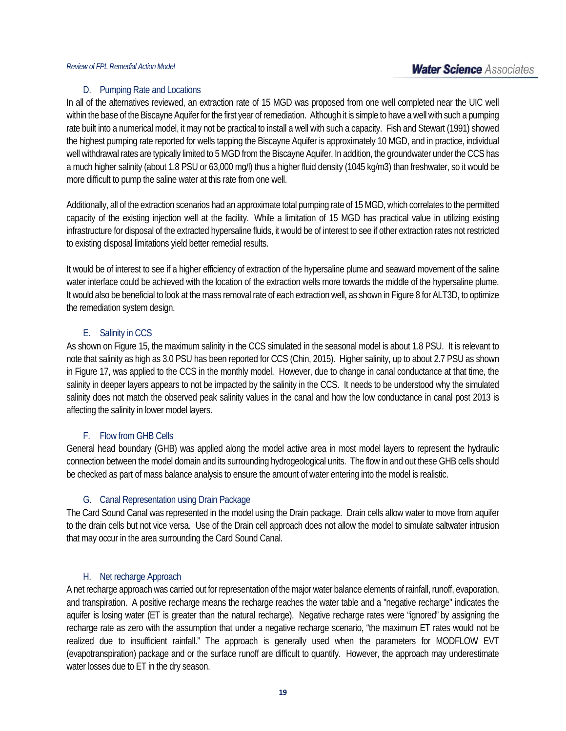#### D. Pumping Rate and Locations

In all of the alternatives reviewed, an extraction rate of 15 MGD was proposed from one well completed near the UIC well within the base of the Biscayne Aquifer for the first year of remediation. Although it is simple to have a well with such a pumping rate built into a numerical model, it may not be practical to install a well with such a capacity. Fish and Stewart (1991) showed the highest pumping rate reported for wells tapping the Biscayne Aquifer is approximately 10 MGD, and in practice, individual well withdrawal rates are typically limited to 5 MGD from the Biscayne Aquifer. In addition, the groundwater under the CCS has a much higher salinity (about 1.8 PSU or 63,000 mg/l) thus a higher fluid density (1045 kg/m3) than freshwater, so it would be more difficult to pump the saline water at this rate from one well.

Additionally, all of the extraction scenarios had an approximate total pumping rate of 15 MGD, which correlates to the permitted capacity of the existing injection well at the facility. While a limitation of 15 MGD has practical value in utilizing existing infrastructure for disposal of the extracted hypersaline fluids, it would be of interest to see if other extraction rates not restricted to existing disposal limitations yield better remedial results.

It would be of interest to see if a higher efficiency of extraction of the hypersaline plume and seaward movement of the saline water interface could be achieved with the location of the extraction wells more towards the middle of the hypersaline plume. It would also be beneficial to look at the mass removal rate of each extraction well, as shown in Figure 8 for ALT3D, to optimize the remediation system design.

#### E. Salinity in CCS

As shown on Figure 15, the maximum salinity in the CCS simulated in the seasonal model is about 1.8 PSU. It is relevant to note that salinity as high as 3.0 PSU has been reported for CCS (Chin, 2015). Higher salinity, up to about 2.7 PSU as shown in Figure 17, was applied to the CCS in the monthly model. However, due to change in canal conductance at that time, the salinity in deeper layers appears to not be impacted by the salinity in the CCS. It needs to be understood why the simulated salinity does not match the observed peak salinity values in the canal and how the low conductance in canal post 2013 is affecting the salinity in lower model layers.

#### F. Flow from GHB Cells

General head boundary (GHB) was applied along the model active area in most model layers to represent the hydraulic connection between the model domain and its surrounding hydrogeological units. The flow in and out these GHB cells should be checked as part of mass balance analysis to ensure the amount of water entering into the model is realistic.

## G. Canal Representation using Drain Package

The Card Sound Canal was represented in the model using the Drain package. Drain cells allow water to move from aquifer to the drain cells but not vice versa. Use of the Drain cell approach does not allow the model to simulate saltwater intrusion that may occur in the area surrounding the Card Sound Canal.

#### H. Net recharge Approach

A net recharge approach was carried out for representation of the major water balance elements of rainfall, runoff, evaporation, and transpiration. A positive recharge means the recharge reaches the water table and a "negative recharge" indicates the aquifer is losing water (ET is greater than the natural recharge). Negative recharge rates were "ignored" by assigning the recharge rate as zero with the assumption that under a negative recharge scenario, "the maximum ET rates would not be realized due to insufficient rainfall." The approach is generally used when the parameters for MODFLOW EVT (evapotranspiration) package and or the surface runoff are difficult to quantify. However, the approach may underestimate water losses due to ET in the dry season.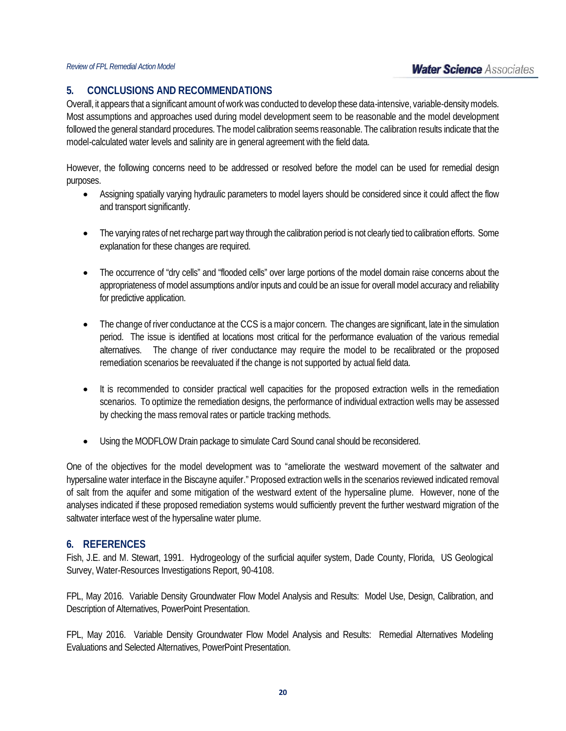## **5. CONCLUSIONS AND RECOMMENDATIONS**

Overall, it appears that a significant amount of work was conducted to develop these data-intensive, variable-density models. Most assumptions and approaches used during model development seem to be reasonable and the model development followed the general standard procedures. The model calibration seems reasonable. The calibration results indicate that the model-calculated water levels and salinity are in general agreement with the field data.

However, the following concerns need to be addressed or resolved before the model can be used for remedial design purposes.

- Assigning spatially varying hydraulic parameters to model layers should be considered since it could affect the flow and transport significantly.
- The varying rates of net recharge part way through the calibration period is not clearly tied to calibration efforts. Some explanation for these changes are required.
- The occurrence of "dry cells" and "flooded cells" over large portions of the model domain raise concerns about the appropriateness of model assumptions and/or inputs and could be an issue for overall model accuracy and reliability for predictive application.
- The change of river conductance at the CCS is a major concern. The changes are significant, late in the simulation period. The issue is identified at locations most critical for the performance evaluation of the various remedial alternatives. The change of river conductance may require the model to be recalibrated or the proposed remediation scenarios be reevaluated if the change is not supported by actual field data.
- It is recommended to consider practical well capacities for the proposed extraction wells in the remediation scenarios. To optimize the remediation designs, the performance of individual extraction wells may be assessed by checking the mass removal rates or particle tracking methods.
- Using the MODFLOW Drain package to simulate Card Sound canal should be reconsidered.

One of the objectives for the model development was to "ameliorate the westward movement of the saltwater and hypersaline water interface in the Biscayne aquifer." Proposed extraction wells in the scenarios reviewed indicated removal of salt from the aquifer and some mitigation of the westward extent of the hypersaline plume. However, none of the analyses indicated if these proposed remediation systems would sufficiently prevent the further westward migration of the saltwater interface west of the hypersaline water plume.

## **6. REFERENCES**

Fish, J.E. and M. Stewart, 1991. Hydrogeology of the surficial aquifer system, Dade County, Florida, US Geological Survey, Water-Resources Investigations Report, 90-4108.

FPL, May 2016. Variable Density Groundwater Flow Model Analysis and Results: Model Use, Design, Calibration, and Description of Alternatives, PowerPoint Presentation.

FPL, May 2016. Variable Density Groundwater Flow Model Analysis and Results: Remedial Alternatives Modeling Evaluations and Selected Alternatives, PowerPoint Presentation.